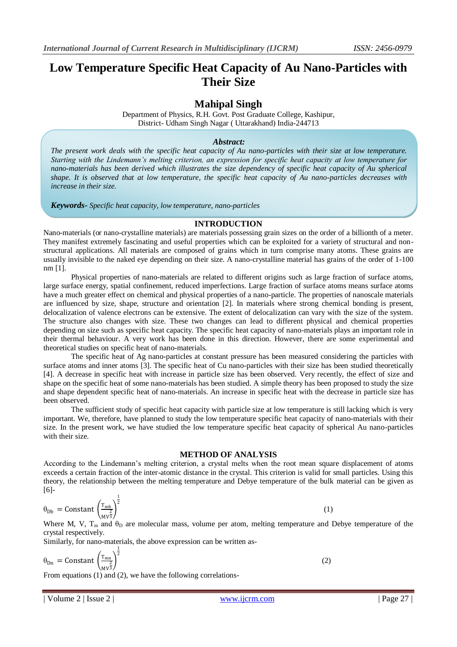# **Low Temperature Specific Heat Capacity of Au Nano-Particles with Their Size**

# **Mahipal Singh**

Department of Physics, R.H. Govt. Post Graduate College, Kashipur, District- Udham Singh Nagar ( Uttarakhand) India-244713

## *Abstract:*

*The present work deals with the specific heat capacity of Au nano-particles with their size at low temperature. Starting with the Lindemann's melting criterion, an expression for specific heat capacity at low temperature for nano-materials has been derived which illustrates the size dependency of specific heat capacity of Au spherical shape. It is observed that at low temperature, the specific heat capacity of Au nano-particles decreases with increase in their size.*

*Keywords- Specific heat capacity, low temperature, nano-particles*

#### **INTRODUCTION**

Nano-materials (or nano-crystalline materials) are materials possessing grain sizes on the order of a billionth of a meter. They manifest extremely fascinating and useful properties which can be exploited for a variety of structural and nonstructural applications. All materials are composed of grains which in turn comprise many atoms. These grains are usually invisible to the naked eye depending on their size. A nano-crystalline material has grains of the order of 1-100 nm [1].

Physical properties of nano-materials are related to different origins such as large fraction of surface atoms, large surface energy, spatial confinement, reduced imperfections. Large fraction of surface atoms means surface atoms have a much greater effect on chemical and physical properties of a nano-particle. The properties of nanoscale materials are influenced by size, shape, structure and orientation [2]. In materials where strong chemical bonding is present, delocalization of valence electrons can be extensive. The extent of delocalization can vary with the size of the system. The structure also changes with size. These two changes can lead to different physical and chemical properties depending on size such as specific heat capacity. The specific heat capacity of nano-materials plays an important role in their thermal behaviour. A very work has been done in this direction. However, there are some experimental and theoretical studies on specific heat of nano-materials.

The specific heat of Ag nano-particles at constant pressure has been measured considering the particles with surface atoms and inner atoms [3]. The specific heat of Cu nano-particles with their size has been studied theoretically [4]. A decrease in specific heat with increase in particle size has been observed. Very recently, the effect of size and shape on the specific heat of some nano-materials has been studied. A simple theory has been proposed to study the size and shape dependent specific heat of nano-materials. An increase in specific heat with the decrease in particle size has been observed.

The sufficient study of specific heat capacity with particle size at low temperature is still lacking which is very important. We, therefore, have planned to study the low temperature specific heat capacity of nano-materials with their size. In the present work, we have studied the low temperature specific heat capacity of spherical Au nano-particles with their size.

#### **METHOD OF ANALYSIS**

According to the Lindemann's melting criterion, a crystal melts when the root mean square displacement of atoms exceeds a certain fraction of the inter-atomic distance in the crystal. This criterion is valid for small particles. Using this theory, the relationship between the melting temperature and Debye temperature of the bulk material can be given as [6]-

$$
\theta_{\rm Db} = \text{Constant} \left(\frac{\text{T}_{\rm mb}}{\text{MV}^3}\right)^{\frac{1}{2}} \tag{1}
$$

Where M, V,  $T_m$  and  $\theta_D$  are molecular mass, volume per atom, melting temperature and Debye temperature of the crystal respectively.

Similarly, for nano-materials, the above expression can be written as-

$$
\theta_{\text{Dn}} = \text{Constant} \left(\frac{T_{\text{mn}}}{M_v^2}\right)^{\frac{1}{2}}
$$
\n
$$
\text{From equations (1) and (2), we have the following correlations.}
$$
\n
$$
\text{(2)}
$$

From equations (1) and (2), we have the following correlations-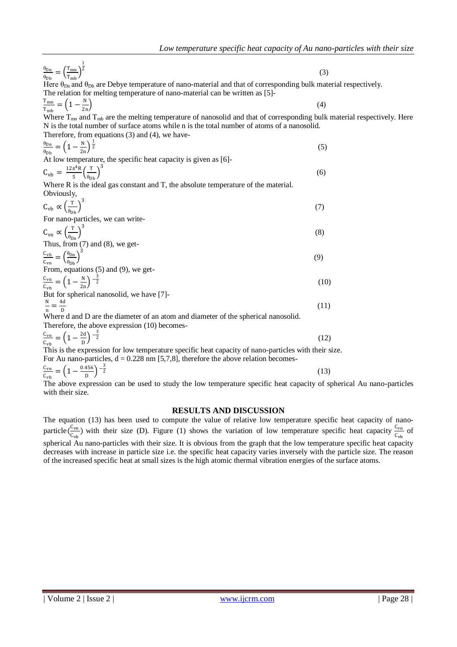| $\frac{\theta_{\text{Dn}}}{\theta_{\text{Db}}} = \left(\frac{T_{\text{mn}}}{T_{\text{mh}}}\right)^{\frac{1}{2}}$                                | (3)  |
|-------------------------------------------------------------------------------------------------------------------------------------------------|------|
| Here $\theta_{\text{Dn}}$ and $\theta_{\text{Db}}$ are Debye temperature of nano-material and that of corresponding bulk material respectively. |      |
| The relation for melting temperature of nano-material can be written as [5]-                                                                    |      |
|                                                                                                                                                 |      |
| $\frac{T_{mn}}{T_{mb}} = \left(1 - \frac{N}{2n}\right)$                                                                                         | (4)  |
| Where $T_{mn}$ and $T_{mb}$ are the melting temperature of nanosolid and that of corresponding bulk material respectively. Here                 |      |
| N is the total number of surface atoms while n is the total number of atoms of a nanosolid.                                                     |      |
| Therefore, from equations $(3)$ and $(4)$ , we have-                                                                                            |      |
| $\frac{\theta_{\rm Dn}}{\theta_{\rm Dh}} = \left(1 - \frac{N}{2n}\right)^{\frac{1}{2}}$                                                         | (5)  |
| At low temperature, the specific heat capacity is given as [6]-                                                                                 |      |
| $C_{\rm vb} = \frac{12\pi^4 R}{5} \left(\frac{T}{\theta_{\rm Dh}}\right)^3$                                                                     | (6)  |
| Where R is the ideal gas constant and T, the absolute temperature of the material.                                                              |      |
| Obviously,                                                                                                                                      |      |
| $C_{\rm vb} \propto \left(\frac{T}{\theta_{\rm Dh}}\right)^3$                                                                                   | (7)  |
| For nano-particles, we can write-                                                                                                               |      |
| $C_{\text{vn}} \propto \left(\frac{T}{\theta_{\text{Dn}}} \right)^3$                                                                            | (8)  |
| Thus, from $(7)$ and $(8)$ , we get-                                                                                                            |      |
| $\frac{C_{\rm vb}}{C_{\rm cm}} = \left(\frac{\theta_{\rm Dn}}{\theta_{\rm Dh}}\right)^3$                                                        |      |
|                                                                                                                                                 | (9)  |
| From, equations (5) and (9), we get-                                                                                                            |      |
| $\frac{C_{\text{vn}}}{C_{\text{rh}}} = \left(1 - \frac{N}{2n}\right)^{-\frac{3}{2}}$                                                            | (10) |
| But for spherical nanosolid, we have [7]-                                                                                                       |      |
| $\frac{N}{n} = \frac{4d}{D}$                                                                                                                    | (11) |
| Where d and D are the diameter of an atom and diameter of the spherical nanosolid.                                                              |      |
| Therefore, the above expression (10) becomes-                                                                                                   |      |
|                                                                                                                                                 |      |
| $\frac{C_{\text{vn}}}{C_{\text{cm}}} = \left(1 - \frac{2d}{D}\right)^{-\frac{3}{2}}$                                                            | (12) |
| This is the expression for low temperature specific heat capacity of nano-particles with their size.                                            |      |
| For Au nano-particles, $d = 0.228$ nm [5,7,8], therefore the above relation becomes-                                                            |      |

$$
\frac{c_{\text{vn}}}{c_{\text{vb}}} = \left(1 - \frac{0.456}{D}\right)^{-\frac{3}{2}}
$$
(13)

The above expression can be used to study the low temperature specific heat capacity of spherical Au nano-particles with their size.

### **RESULTS AND DISCUSSION**

The equation (13) has been used to compute the value of relative low temperature specific heat capacity of nanoparticle  $\left(\frac{C_{\text{vn}}}{C}\right)$  $\frac{C_{\text{vn}}}{C_{\text{vh}}}$ ) with their size (D). Figure (1) shows the variation of low temperature specific heat capacity  $\frac{C_{\text{vn}}}{C_{\text{vh}}}$  of spherical Au nano-particles with their size. It is obvious from the graph that the low temperature specific heat capacity decreases with increase in particle size i.e. the specific heat capacity varies inversely with the particle size. The reason of the increased specific heat at small sizes is the high atomic thermal vibration energies of the surface atoms.